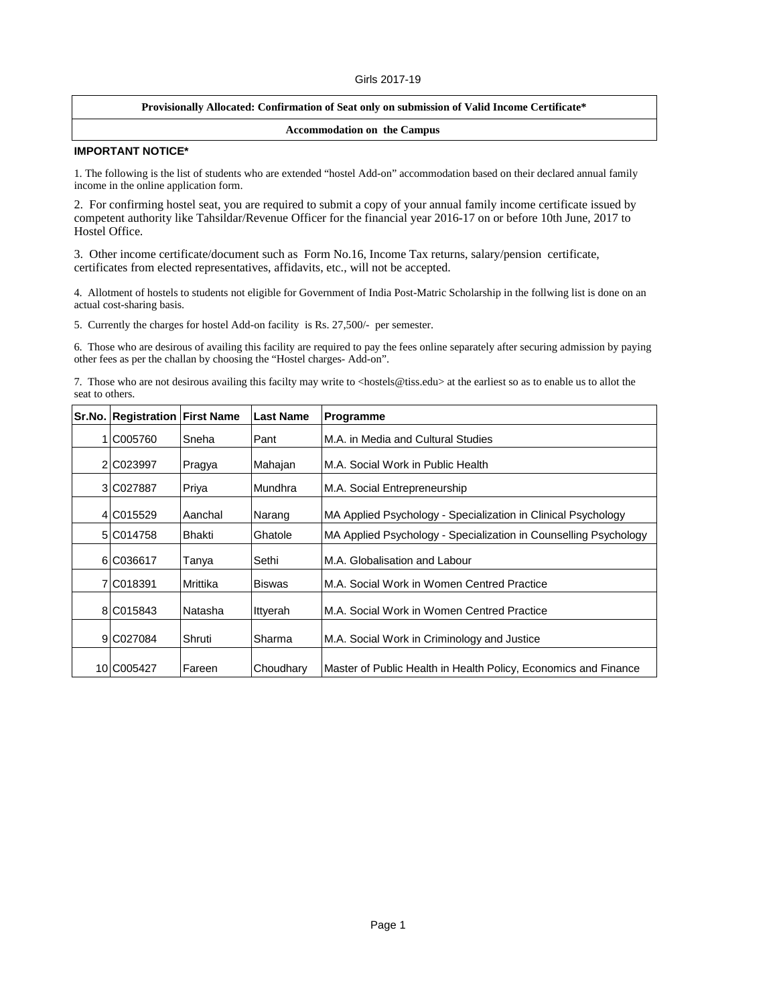#### Girls 2017-19

## **Provisionally Allocated: Confirmation of Seat only on submission of Valid Income Certificate\***

### **Accommodation on the Campus**

## **IMPORTANT NOTICE\***

1. The following is the list of students who are extended "hostel Add-on" accommodation based on their declared annual family income in the online application form.

2. For confirming hostel seat, you are required to submit a copy of your annual family income certificate issued by competent authority like Tahsildar/Revenue Officer for the financial year 2016-17 on or before 10th June, 2017 to Hostel Office.

3. Other income certificate/document such as Form No.16, Income Tax returns, salary/pension certificate, certificates from elected representatives, affidavits, etc., will not be accepted.

4. Allotment of hostels to students not eligible for Government of India Post-Matric Scholarship in the follwing list is done on an actual cost-sharing basis.

5. Currently the charges for hostel Add-on facility is Rs. 27,500/- per semester.

6. Those who are desirous of availing this facility are required to pay the fees online separately after securing admission by paying other fees as per the challan by choosing the "Hostel charges- Add-on".

7. Those who are not desirous availing this facilty may write to <hostels@tiss.edu> at the earliest so as to enable us to allot the seat to others.

|   | Sr.No. Registration First Name |          | <b>Last Name</b> | Programme                                                        |
|---|--------------------------------|----------|------------------|------------------------------------------------------------------|
| 1 | C005760                        | Sneha    | ⊩Pant            | M.A. in Media and Cultural Studies                               |
|   | 2 C023997                      | Pragya   | Mahajan          | IM.A. Social Work in Public Health                               |
|   | 3 C027887                      | Priya    | Mundhra          | M.A. Social Entrepreneurship                                     |
|   | 4 C015529                      | Aanchal  | Narang           | MA Applied Psychology - Specialization in Clinical Psychology    |
|   | 5 C014758                      | Bhakti   | Ghatole          | MA Applied Psychology - Specialization in Counselling Psychology |
|   | 6 C036617                      | Tanya    | Sethi            | M.A. Globalisation and Labour                                    |
|   | 7 C018391                      | Mrittika | <b>Biswas</b>    | M.A. Social Work in Women Centred Practice                       |
|   | 8 C015843                      | Natasha  | Ittyerah         | IM.A. Social Work in Women Centred Practice                      |
|   | 9 C027084                      | Shruti   | Sharma           | M.A. Social Work in Criminology and Justice                      |
|   | 10 C005427                     | Fareen   | Choudhary        | Master of Public Health in Health Policy, Economics and Finance  |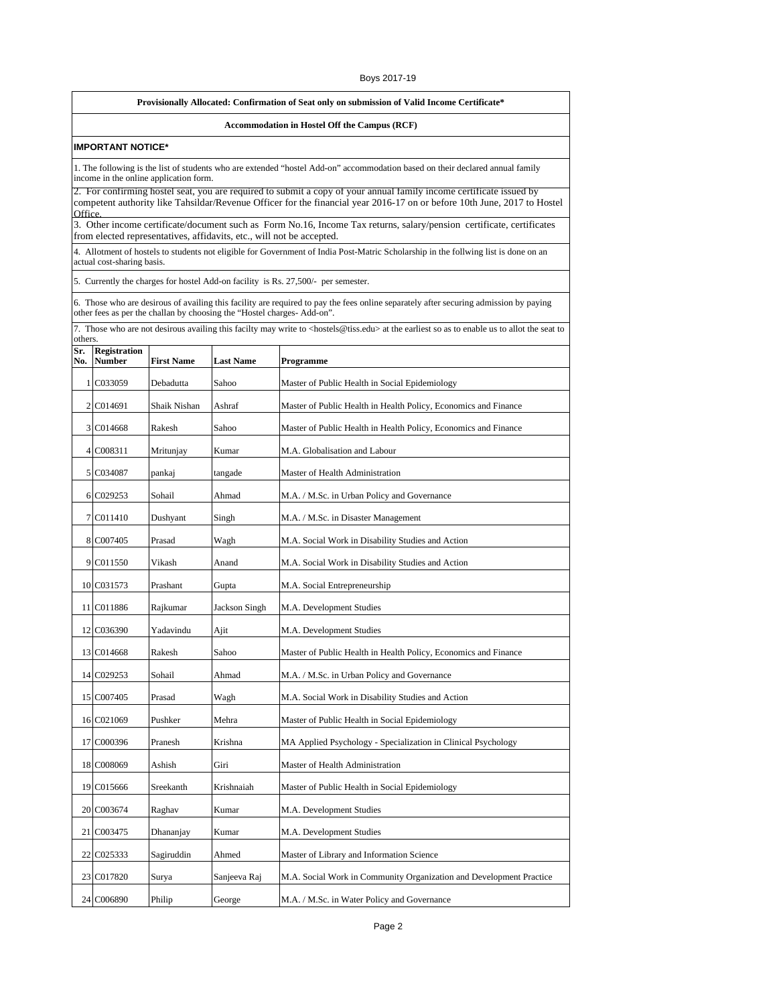#### Boys 2017-19

### **Provisionally Allocated: Confirmation of Seat only on submission of Valid Income Certificate\***

# **Accommodation in Hostel Off the Campus (RCF)**

#### **IMPORTANT NOTICE\***

1. The following is the list of students who are extended "hostel Add-on" accommodation based on their declared annual family income in the online application form.

2. For confirming hostel seat, you are required to submit a copy of your annual family income certificate issued by competent authority like Tahsildar/Revenue Officer for the financial year 2016-17 on or before 10th June, 2017 to Hostel Office.

3. Other income certificate/document such as Form No.16, Income Tax returns, salary/pension certificate, certificates from elected representatives, affidavits, etc., will not be accepted.

4. Allotment of hostels to students not eligible for Government of India Post-Matric Scholarship in the follwing list is done on an actual cost-sharing basis.

5. Currently the charges for hostel Add-on facility is Rs. 27,500/- per semester.

6. Those who are desirous of availing this facility are required to pay the fees online separately after securing admission by paying other fees as per the challan by choosing the "Hostel charges- Add-on".

|            | others.                |                   |                  |                                                                     |  |
|------------|------------------------|-------------------|------------------|---------------------------------------------------------------------|--|
| Sr.<br>No. | Registration<br>Number | <b>First Name</b> | <b>Last Name</b> | Programme                                                           |  |
|            | 1 C033059              | Debadutta         | Sahoo            | Master of Public Health in Social Epidemiology                      |  |
|            | 2 C014691              | Shaik Nishan      | Ashraf           | Master of Public Health in Health Policy, Economics and Finance     |  |
|            | 3 C014668              | Rakesh            | Sahoo            | Master of Public Health in Health Policy, Economics and Finance     |  |
|            | 4 C008311              | Mritunjay         | Kumar            | M.A. Globalisation and Labour                                       |  |
|            | 5 C034087              | pankaj            | tangade          | Master of Health Administration                                     |  |
|            | 6 C029253              | Sohail            | Ahmad            | M.A. / M.Sc. in Urban Policy and Governance                         |  |
|            | 7 C011410              | Dushyant          | Singh            | M.A. / M.Sc. in Disaster Management                                 |  |
|            | 8 C007405              | Prasad            | Wagh             | M.A. Social Work in Disability Studies and Action                   |  |
|            | 9 C011550              | Vikash            | Anand            | M.A. Social Work in Disability Studies and Action                   |  |
|            | 10 C031573             | Prashant          | Gupta            | M.A. Social Entrepreneurship                                        |  |
|            | 11 C011886             | Rajkumar          | Jackson Singh    | M.A. Development Studies                                            |  |
|            | 12 C036390             | Yadavindu         | Ajit             | M.A. Development Studies                                            |  |
|            | 13 C014668             | Rakesh            | Sahoo            | Master of Public Health in Health Policy, Economics and Finance     |  |
|            | 14 C029253             | Sohail            | Ahmad            | M.A. / M.Sc. in Urban Policy and Governance                         |  |
|            | 15 C007405             | Prasad            | Wagh             | M.A. Social Work in Disability Studies and Action                   |  |
|            | 16 C021069             | Pushker           | Mehra            | Master of Public Health in Social Epidemiology                      |  |
|            | 17 C000396             | Pranesh           | Krishna          | MA Applied Psychology - Specialization in Clinical Psychology       |  |
|            | 18 C008069             | Ashish            | Giri             | Master of Health Administration                                     |  |
|            | 19 C015666             | Sreekanth         | Krishnaiah       | Master of Public Health in Social Epidemiology                      |  |
|            | 20 C003674             | Raghav            | Kumar            | M.A. Development Studies                                            |  |
|            | 21 C003475             | Dhananjay         | Kumar            | M.A. Development Studies                                            |  |
|            | 22 C025333             | Sagiruddin        | Ahmed            | Master of Library and Information Science                           |  |
|            | 23 C017820             | Surya             | Sanjeeva Raj     | M.A. Social Work in Community Organization and Development Practice |  |
|            | 24 C006890             | Philip            | George           | M.A. / M.Sc. in Water Policy and Governance                         |  |

7. Those who are not desirous availing this facilty may write to <hostels@tiss.edu> at the earliest so as to enable us to allot the seat to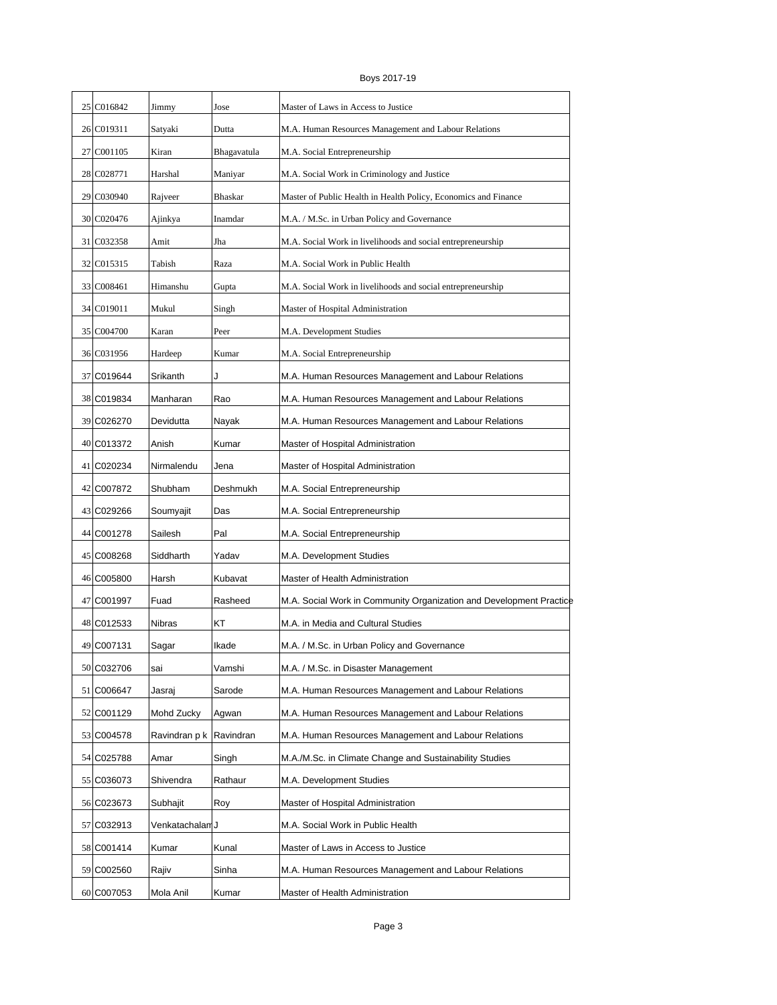|  | Boys 2017-19 |
|--|--------------|
|--|--------------|

| 25 C016842 | Jimmy           | Jose           | Master of Laws in Access to Justice                                 |
|------------|-----------------|----------------|---------------------------------------------------------------------|
| 26 C019311 | Satyaki         | Dutta          | M.A. Human Resources Management and Labour Relations                |
| 27 C001105 | Kiran           | Bhagavatula    | M.A. Social Entrepreneurship                                        |
| 28 C028771 | Harshal         | Maniyar        | M.A. Social Work in Criminology and Justice                         |
| 29 C030940 | Rajveer         | <b>Bhaskar</b> | Master of Public Health in Health Policy, Economics and Finance     |
| 30 C020476 | Ajinkya         | Inamdar        | M.A. / M.Sc. in Urban Policy and Governance                         |
| 31 C032358 | Amit            | Jha            | M.A. Social Work in livelihoods and social entrepreneurship         |
| 32 C015315 | Tabish          | Raza           | M.A. Social Work in Public Health                                   |
| 33 C008461 | Himanshu        | Gupta          | M.A. Social Work in livelihoods and social entrepreneurship         |
| 34 C019011 | Mukul           | Singh          | Master of Hospital Administration                                   |
| 35 C004700 | Karan           | Peer           | M.A. Development Studies                                            |
| 36 C031956 | Hardeep         | Kumar          | M.A. Social Entrepreneurship                                        |
| 37 C019644 | Srikanth        | J              | M.A. Human Resources Management and Labour Relations                |
| 38 C019834 | Manharan        | Rao            | M.A. Human Resources Management and Labour Relations                |
| 39 C026270 | Devidutta       | Nayak          | M.A. Human Resources Management and Labour Relations                |
| 40 C013372 | Anish           | Kumar          | Master of Hospital Administration                                   |
| 41 C020234 | Nirmalendu      | Jena           | Master of Hospital Administration                                   |
| 42 C007872 | Shubham         | Deshmukh       | M.A. Social Entrepreneurship                                        |
| 43 C029266 | Soumyajit       | Das            | M.A. Social Entrepreneurship                                        |
| 44 C001278 | Sailesh         | Pal            | M.A. Social Entrepreneurship                                        |
| 45 C008268 | Siddharth       | Yadav          | M.A. Development Studies                                            |
| 46 C005800 | Harsh           | Kubavat        | Master of Health Administration                                     |
| 47 C001997 | Fuad            | Rasheed        | M.A. Social Work in Community Organization and Development Practice |
| 48 C012533 | Nibras          | KT             | M.A. in Media and Cultural Studies                                  |
| 49 C007131 | Sagar           | Ikade          | M.A. / M.Sc. in Urban Policy and Governance                         |
| 50 C032706 | sai             | Vamshi         | M.A. / M.Sc. in Disaster Management                                 |
| 51 C006647 | Jasraj          | Sarode         | M.A. Human Resources Management and Labour Relations                |
| 52 C001129 | Mohd Zucky      | Agwan          | M.A. Human Resources Management and Labour Relations                |
| 53 C004578 | Ravindran p k   | Ravindran      | M.A. Human Resources Management and Labour Relations                |
| 54 C025788 | Amar            | Singh          | M.A./M.Sc. in Climate Change and Sustainability Studies             |
| 55 C036073 | Shivendra       | Rathaur        | M.A. Development Studies                                            |
| 56 C023673 | Subhajit        | Roy            | Master of Hospital Administration                                   |
| 57 C032913 | Venkatachalan J |                | M.A. Social Work in Public Health                                   |
| 58 C001414 | Kumar           | Kunal          | Master of Laws in Access to Justice                                 |
| 59 C002560 | Rajiv           | Sinha          | M.A. Human Resources Management and Labour Relations                |
| 60 C007053 | Mola Anil       | Kumar          | Master of Health Administration                                     |